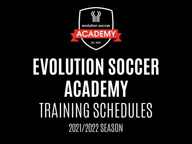

# **EVOLUTION SOCCER ACADEMY** TRAINING SCHEDULES 2021/2022 SEASON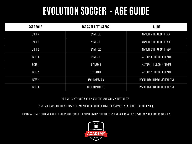#### **EVOLUTION SOCCER - AGE GUIDE**

| <b>AGE GROUP</b>   | AGE AS OF SEPT 1ST 2021 | GUIDE                                 |
|--------------------|-------------------------|---------------------------------------|
| UNDER <sub>7</sub> | 6 YEARS OLD             | MAY TURN 7 THROUGHOUT THE YEAR        |
| UNDER 8            | 7 YEARS OLD             | MAY TURN 8 THROUGHOUT THE YEAR        |
| UNDER 9            | 8 YEARS OLD             | MAY TURN 9 THROUGHOUT THE YEAR        |
| UNDER 10           | 9 YEARS OLD             | MAY TURN 10 THROUGHOUT THE YEAR       |
| UNDER 11           | 10 YEARS OLD            | MAY TURN 11 THROUGHOUT THE YEAR       |
| UNDER 12           | 11 YEARS OLD            | MAY TURN 12 THROUGHOUT THE YEAR       |
| UNDER 14           | 12 OR 13 YEARS OLD      | MAY TURN 13 OR 14 THROUGHOUT THE YEAR |
| UNDER 16           | 14,15 OR 16 YEARS OLD   | MAY TURN 15 OR 16 THROUGHOUT THE YEAR |

#### YOUR CHILD'S AGE GROUP IS DETERMINED BY THEIR AGE AS OF SEPTEMBER 1ST, 2021.

PLEASE NOTE THAT YOUR CHILD WILL STAY IN THE SAME AGE GROUP FOR THE ENTIRETY OF THE 2021/2022 SEASON (MUCH LIKE SCHOOL GRADES).

PLAYERS MAY BE ASKED TO MOVE TO A DIFFERENT TEAM AT ANY STAGE OF THE SEASON TO ALIGN WITH THEIR RESPECTIVE ABILITIES AND DEVELOPMENT, AS PER THE COACHES DISCRETION.

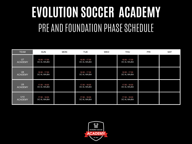## **EVOLUTION SOCCER ACADEMY** PRE AND FOUNDATION PHASE SCHEDULE

| <b>TEAM</b>                      | <b>SUN</b>                   | <b>MON</b> | <b>TUE</b>                   | <b>WED</b> | <b>THU</b>                   | <b>FRI</b> | <b>SAT</b> |
|----------------------------------|------------------------------|------------|------------------------------|------------|------------------------------|------------|------------|
| $U$ 7<br><b>ACADEMY</b>          | 16:30 - 17:30<br>DC AL WAJBA |            | 16:30 - 17:30<br>DC AL WAJBA |            | 16:30 - 17:30<br>DC AL WAJBA |            |            |
| U8<br><b>ACADEMY</b>             | 16:30 - 17:30<br>DC AL WAJBA |            | 16:30 - 17:30<br>DC AL WAJBA |            | 16:30 - 17:30<br>DC AL WAJBA |            |            |
| U <sub>9</sub><br><b>ACADEMY</b> | 17:30 - 18:30<br>DC AL WAJBA |            | 17:30 - 18:30<br>DC AL WAJBA |            | 17:30 - 18:30<br>DC AL WAJBA |            |            |
| U10<br><b>ACADEMY</b>            | 17:30 - 18:30<br>DC AL WAJBA |            | 17:30 - 18:30<br>DC AL WAJBA |            | 17:30 - 18:30<br>DC AL WAJBA |            |            |

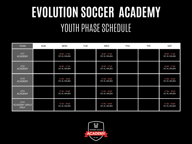### **EVOLUTION SOCCER ACADEMY** YOUTH PHASE SCHEDULE

| <b>TEAM</b>                                | <b>SUN</b> | <b>MON</b>                   | <b>TUE</b> | WED                          | <b>THU</b> | FRI | <b>SAT</b>                   |
|--------------------------------------------|------------|------------------------------|------------|------------------------------|------------|-----|------------------------------|
| U11<br><b>ACADEMY</b>                      |            | 16:30 - 17:45<br>DC AL WAJBA |            | 16:30 - 17:45<br>DC AL WAJBA |            |     | 16:30 - 17:30<br>DC AL WAJBA |
| U12<br><b>ACADEMY</b>                      |            | 16:30 - 17:45<br>DC AL WAJBA |            | 16:30 - 17:45<br>DC AL WAJBA |            |     | 16:30 - 17:30<br>DC AL WAJBA |
| U13<br><b>ACADEMY</b>                      |            | 17:45 - 19:00<br>DC AL WAJBA |            | 17:45 - 19:00<br>DC AL WAJBA |            |     | 17:30 - 18:30<br>DC AL WAJBA |
| U14<br><b>ACADEMY</b>                      |            | 17:45 - 19:00<br>DC AL WAJBA |            | 17:45 - 19:00<br>DC AL WAJBA |            |     | 17:30 - 18:30<br>DC AL WAJBA |
| U14<br><b>ACADEMY GIRLS</b><br><b>ONLY</b> |            | 17:45 - 19:00<br>DC AL WAJBA |            | 17:45 - 19:00<br>DC AL WAJBA |            |     | 17:30 - 18:30<br>DC AL WAJBA |

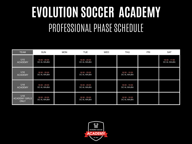### **EVOLUTION SOCCER ACADEMY** PROFESSIONAL PHASE SCHEDULE

| <b>TEAM</b>                                | <b>SUN</b>                   | <b>MON</b> | <b>TUE</b>                   | <b>WED</b> | <b>THU</b>                   | <b>FRI</b> | <b>SAT</b>                   |
|--------------------------------------------|------------------------------|------------|------------------------------|------------|------------------------------|------------|------------------------------|
| U15<br><b>ACADEMY</b>                      | 18:30 - 20:00<br>DC AL WAJBA |            | 18:30 - 20:00<br>DC AL WAJBA |            |                              |            | 16:30 - 17:30<br>DC AL WAJBA |
| U16<br><b>ACADEMY</b>                      | 18:30 - 20:00<br>DC AL WAJBA |            | 18:30 - 20:00<br>DC AL WAJBA |            | 18:30 - 19:30<br>DC AL WAJBA |            |                              |
| U18<br><b>ACADEMY</b>                      | 18:30 - 20:00<br>DC AL WAJBA |            | 18:30 - 20:00<br>DC AL WAJBA |            | 18:30 - 19:30<br>DC AL WAJBA |            |                              |
| U18<br><b>ACADEMY GIRLS</b><br><b>ONLY</b> | 18:30 - 20:00<br>DC AL WAJBA |            | 18:30 - 20:00<br>DC AL WAJBA |            | 18:30 - 19:30<br>DC AL WAJBA |            |                              |